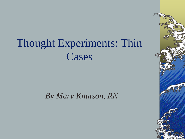## Thought Experiments: Thin Cases

*By Mary Knutson, RN*

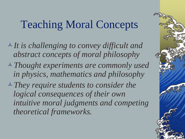#### Teaching Moral Concepts

- *It is challenging to convey difficult and abstract concepts of moral philosophy*
- *Thought experiments are commonly used in physics, mathematics and philosophy*
- *They require students to consider the logical consequences of their own intuitive moral judgments and competing theoretical frameworks.*

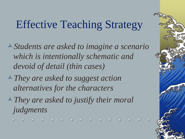## Effective Teaching Strategy

- *Students are asked to imagine a scenario which is intentionally schematic and devoid of detail (thin cases)*
- *They are asked to suggest action alternatives for the characters*
- *They are asked to justify their moral judgments*
	-

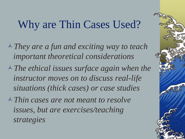#### Why are Thin Cases Used?

- *They are a fun and exciting way to teach important theoretical considerations*
- *The ethical issues surface again when the instructor moves on to discuss real-life situations (thick cases) or case studies*
- *Thin cases are not meant to resolve issues, but are exercises/teaching strategies*

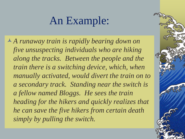### An Example:

*A runaway train is rapidly bearing down on five unsuspecting individuals who are hiking along the tracks. Between the people and the train there is a switching device, which, when manually activated, would divert the train on to a secondary track. Standing near the switch is a fellow named Bloggs. He sees the train heading for the hikers and quickly realizes that he can save the five hikers from certain death simply by pulling the switch.* 

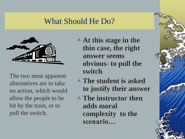#### What Should He Do?



The two most apparent alternatives are to take no action, which would allow the people to be hit by the train, or to pull the switch.

- **At this stage in the thin case, the right answer seems obvious- to pull the switch**
- **The student is asked to justify their answer**
- **The instructor then adds moral complexity to the scenario…**

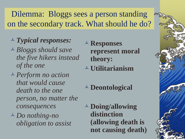Dilemma: Bloggs sees a person standing on the secondary track. What should he do?

- *Typical responses:*
- *Bloggs should save the five hikers instead of the one*
- *Perform no action that would cause death to the one person, no matter the consequences*
- *Do nothing-no obligation to assist*
- **Responses represent moral theory:**
- **Utilitarianism**
- **Deontological**
- **Doing/allowing distinction (allowing death is not causing death)**

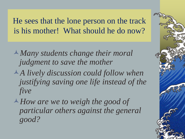He sees that the lone person on the track is his mother! What should he do now?

- *Many students change their moral judgment to save the mother*
- *A lively discussion could follow when justifying saving one life instead of the five*
- *How are we to weigh the good of particular others against the general good?*

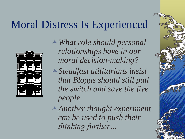### Moral Distress Is Experienced



*What role should personal relationships have in our moral decision-making?*

*Steadfast utilitarians insist that Bloggs should still pull the switch and save the five people*

*Another thought experiment can be used to push their thinking further…*

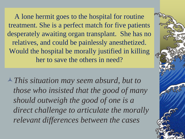A lone hermit goes to the hospital for routine treatment. She is a perfect match for five patients desperately awaiting organ transplant. She has no relatives, and could be painlessly anesthetized. Would the hospital be morally justified in killing her to save the others in need?

*This situation may seem absurd, but to those who insisted that the good of many should outweigh the good of one is a direct challenge to articulate the morally relevant differences between the cases*

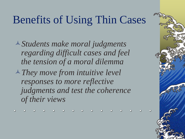# Benefits of Using Thin Cases

- *Students make moral judgments regarding difficult cases and feel the tension of a moral dilemma*
- *They move from intuitive level responses to more reflective judgments and test the coherence of their views*
- 

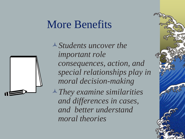#### More Benefits

*Students uncover the important role consequences, action, and special relationships play in moral decision-making*

*They examine similarities and differences in cases, and better understand moral theories*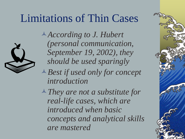## Limitations of Thin Cases



*According to J. Hubert (personal communication, September 19, 2002), they should be used sparingly*

*Best if used only for concept introduction*

*They are not a substitute for real-life cases, which are introduced when basic concepts and analytical skills are mastered*